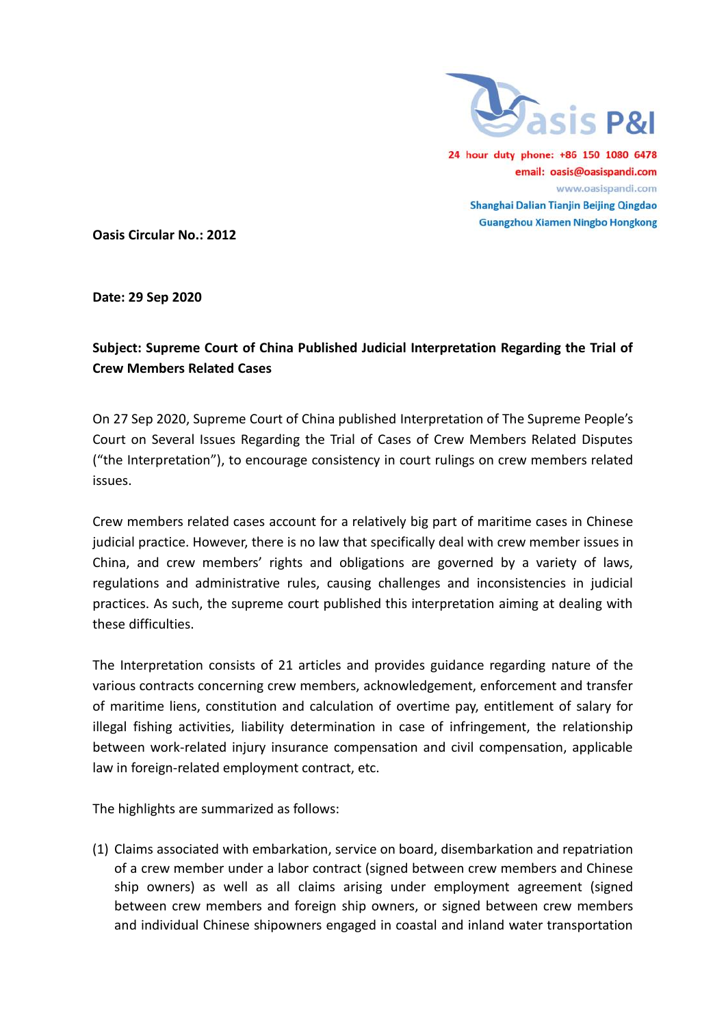

24 hour duty phone: +86 150 1080 6478 email: oasis@oasispandi.com www.oasispandi.com Shanghai Dalian Tianjin Beijing Qingdao **Guangzhou Xiamen Ningbo Hongkong** 

**Oasis Circular No.: 2012**

**Date: 29 Sep 2020**

## **Subject: Supreme Court of China Published Judicial Interpretation Regarding the Trial of Crew Members Related Cases**

On 27 Sep 2020, Supreme Court of China published Interpretation of The Supreme People's Court on Several Issues Regarding the Trial of Cases of Crew Members Related Disputes ("the Interpretation"), to encourage consistency in court rulings on crew members related issues.

Crew members related cases account for a relatively big part of maritime cases in Chinese judicial practice. However, there is no law that specifically deal with crew member issues in China, and crew members' rights and obligations are governed by a variety of laws, regulations and administrative rules, causing challenges and inconsistencies in judicial practices. As such, the supreme court published this interpretation aiming at dealing with these difficulties.

The Interpretation consists of 21 articles and provides guidance regarding nature of the various contracts concerning crew members, acknowledgement, enforcement and transfer of maritime liens, constitution and calculation of overtime pay, entitlement of salary for illegal fishing activities, liability determination in case of infringement, the relationship between work-related injury insurance compensation and civil compensation, applicable law in foreign-related employment contract, etc.

The highlights are summarized as follows:

(1) Claims associated with embarkation, service on board, disembarkation and repatriation of a crew member under a labor contract (signed between crew members and Chinese ship owners) as well as all claims arising under employment agreement (signed between crew members and foreign ship owners, or signed between crew members and individual Chinese shipowners engaged in coastal and inland water transportation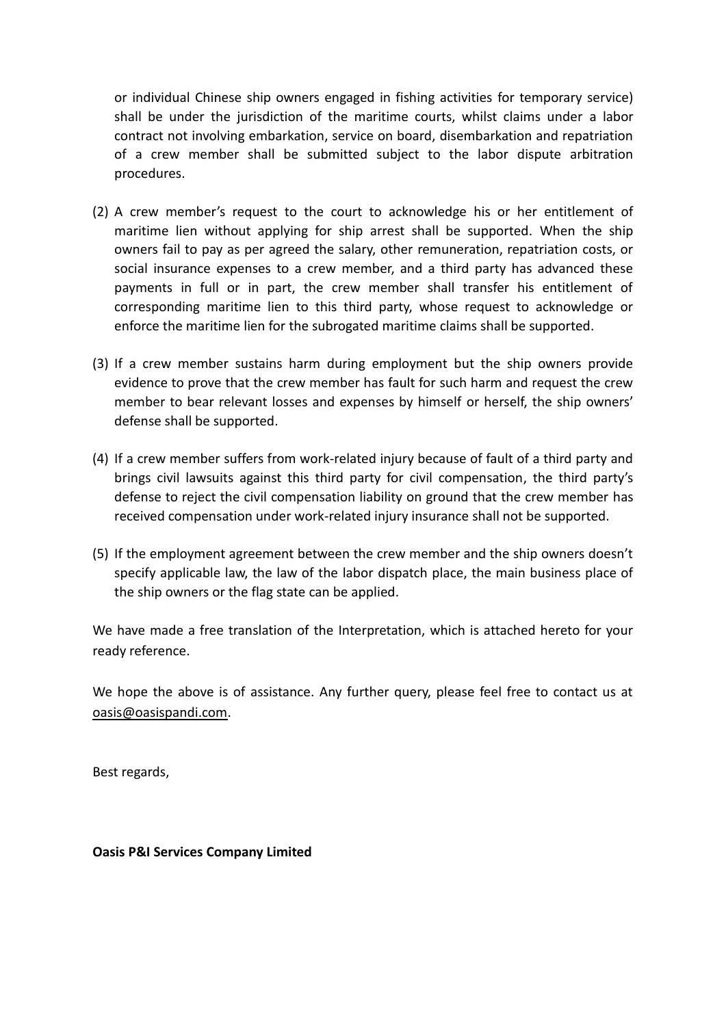or individual Chinese ship owners engaged in fishing activities for temporary service) shall be under the jurisdiction of the maritime courts, whilst claims under a labor contract not involving embarkation, service on board, disembarkation and repatriation of a crew member shall be submitted subject to the labor dispute arbitration procedures.

- (2) A crew member's request to the court to acknowledge his or her entitlement of maritime lien without applying for ship arrest shall be supported. When the ship owners fail to pay as per agreed the salary, other remuneration, repatriation costs, or social insurance expenses to a crew member, and a third party has advanced these payments in full or in part, the crew member shall transfer his entitlement of corresponding maritime lien to this third party, whose request to acknowledge or enforce the maritime lien for the subrogated maritime claims shall be supported.
- (3) If a crew member sustains harm during employment but the ship owners provide evidence to prove that the crew member has fault for such harm and request the crew member to bear relevant losses and expenses by himself or herself, the ship owners' defense shall be supported.
- (4) If a crew member suffers from work-related injury because of fault of a third party and brings civil lawsuits against this third party for civil compensation, the third party's defense to reject the civil compensation liability on ground that the crew member has received compensation under work-related injury insurance shall not be supported.
- (5) If the employment agreement between the crew member and the ship owners doesn't specify applicable law, the law of the labor dispatch place, the main business place of the ship owners or the flag state can be applied.

We have made a free translation of the Interpretation, which is attached hereto for your ready reference.

We hope the above is of assistance. Any further query, please feel free to contact us at [oasis@oasispandi.com.](mailto:oasis@oasispandi.com)

Best regards,

**Oasis P&I Services Company Limited**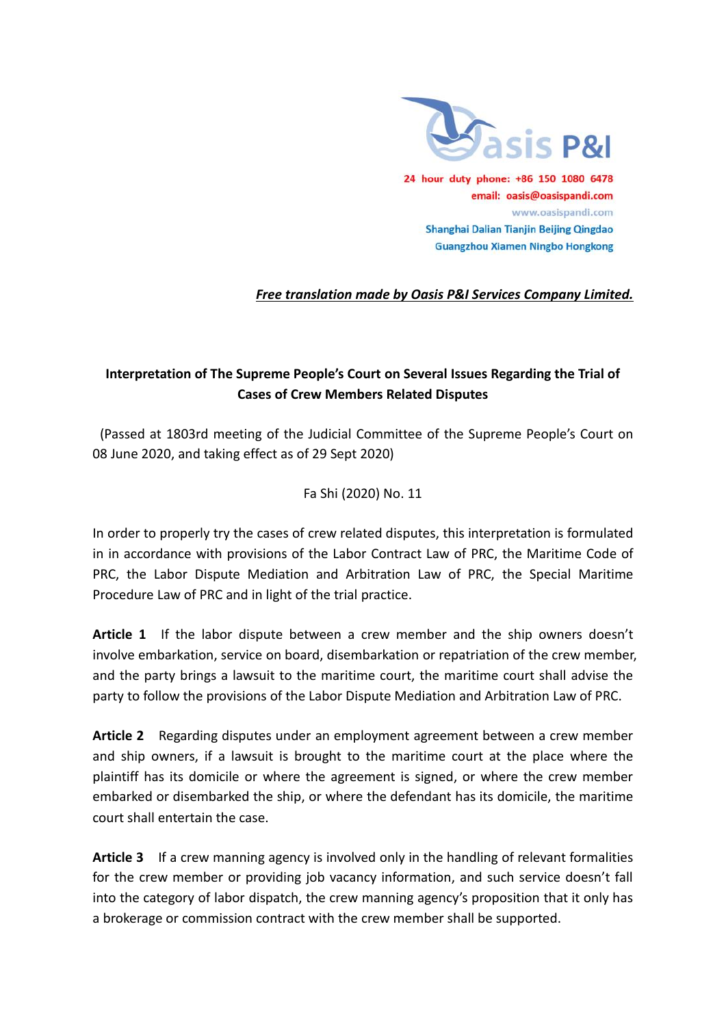

## *Free translation made by Oasis P&I Services Company Limited.*

## **Interpretation of The Supreme People's Court on Several Issues Regarding the Trial of Cases of Crew Members Related Disputes**

(Passed at 1803rd meeting of the Judicial Committee of the Supreme People's Court on 08 June 2020, and taking effect as of 29 Sept 2020)

## Fa Shi (2020) No. 11

In order to properly try the cases of crew related disputes, this interpretation is formulated in in accordance with provisions of the Labor Contract Law of PRC, the Maritime Code of PRC, the Labor Dispute Mediation and Arbitration Law of PRC, the Special Maritime Procedure Law of PRC and in light of the trial practice.

**Article 1** If the labor dispute between a crew member and the ship owners doesn't involve embarkation, service on board, disembarkation or repatriation of the crew member, and the party brings a lawsuit to the maritime court, the maritime court shall advise the party to follow the provisions of the Labor Dispute Mediation and Arbitration Law of PRC.

**Article 2** Regarding disputes under an employment agreement between a crew member and ship owners, if a lawsuit is brought to the maritime court at the place where the plaintiff has its domicile or where the agreement is signed, or where the crew member embarked or disembarked the ship, or where the defendant has its domicile, the maritime court shall entertain the case.

**Article 3** If a crew manning agency is involved only in the handling of relevant formalities for the crew member or providing job vacancy information, and such service doesn't fall into the category of labor dispatch, the crew manning agency's proposition that it only has a brokerage or commission contract with the crew member shall be supported.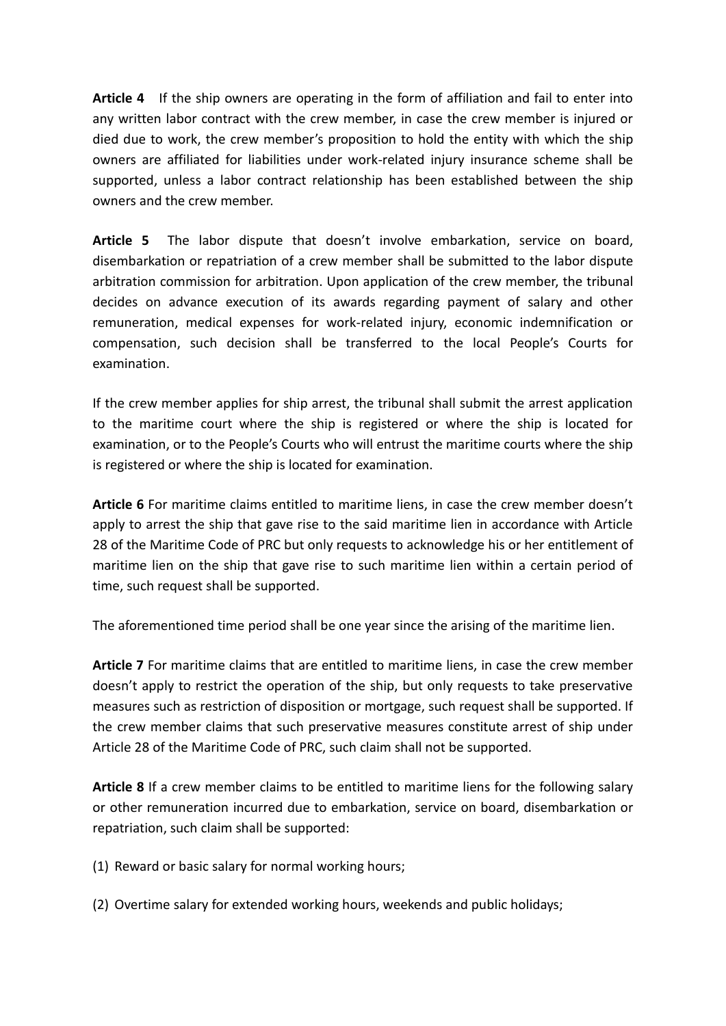**Article 4** If the ship owners are operating in the form of affiliation and fail to enter into any written labor contract with the crew member, in case the crew member is injured or died due to work, the crew member's proposition to hold the entity with which the ship owners are affiliated for liabilities under work-related injury insurance scheme shall be supported, unless a labor contract relationship has been established between the ship owners and the crew member.

**Article 5** The labor dispute that doesn't involve embarkation, service on board, disembarkation or repatriation of a crew member shall be submitted to the labor dispute arbitration commission for arbitration. Upon application of the crew member, the tribunal decides on advance execution of its awards regarding payment of salary and other remuneration, medical expenses for work-related injury, economic indemnification or compensation, such decision shall be transferred to the local People's Courts for examination.

If the crew member applies for ship arrest, the tribunal shall submit the arrest application to the maritime court where the ship is registered or where the ship is located for examination, or to the People's Courts who will entrust the maritime courts where the ship is registered or where the ship is located for examination.

**Article 6** For maritime claims entitled to maritime liens, in case the crew member doesn't apply to arrest the ship that gave rise to the said maritime lien in accordance with Article 28 of the Maritime Code of PRC but only requests to acknowledge his or her entitlement of maritime lien on the ship that gave rise to such maritime lien within a certain period of time, such request shall be supported.

The aforementioned time period shall be one year since the arising of the maritime lien.

**Article 7** For maritime claims that are entitled to maritime liens, in case the crew member doesn't apply to restrict the operation of the ship, but only requests to take preservative measures such as restriction of disposition or mortgage, such request shall be supported. If the crew member claims that such preservative measures constitute arrest of ship under Article 28 of the Maritime Code of PRC, such claim shall not be supported.

**Article 8** If a crew member claims to be entitled to maritime liens for the following salary or other remuneration incurred due to embarkation, service on board, disembarkation or repatriation, such claim shall be supported:

- (1) Reward or basic salary for normal working hours;
- (2) Overtime salary for extended working hours, weekends and public holidays;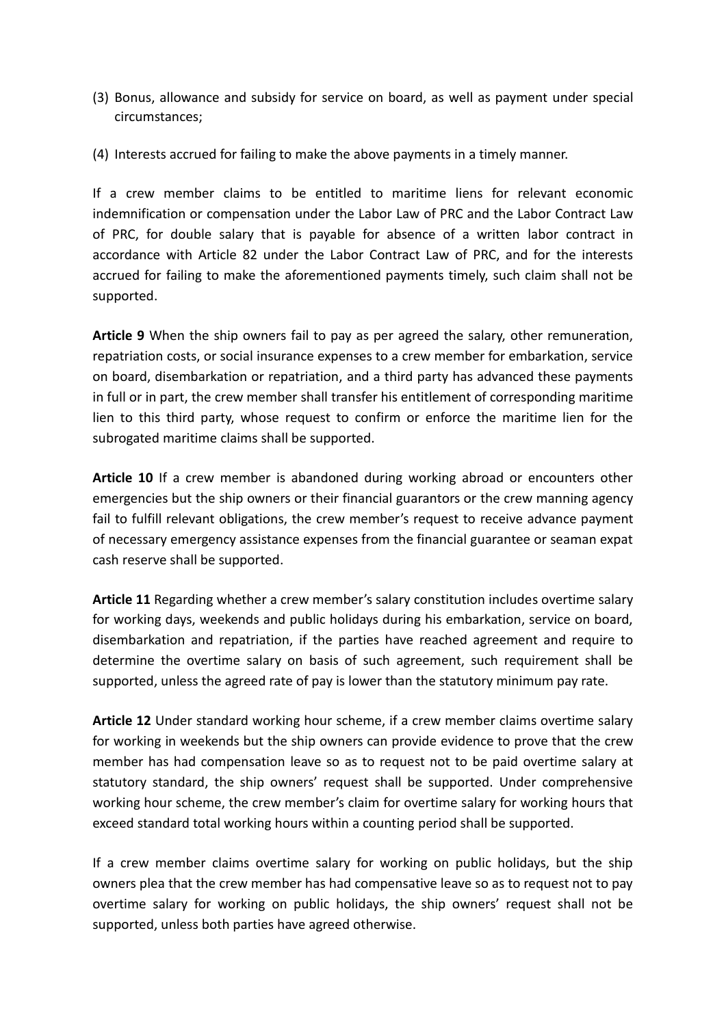- (3) Bonus, allowance and subsidy for service on board, as well as payment under special circumstances;
- (4) Interests accrued for failing to make the above payments in a timely manner.

If a crew member claims to be entitled to maritime liens for relevant economic indemnification or compensation under the Labor Law of PRC and the Labor Contract Law of PRC, for double salary that is payable for absence of a written labor contract in accordance with Article 82 under the Labor Contract Law of PRC, and for the interests accrued for failing to make the aforementioned payments timely, such claim shall not be supported.

**Article 9** When the ship owners fail to pay as per agreed the salary, other remuneration, repatriation costs, or social insurance expenses to a crew member for embarkation, service on board, disembarkation or repatriation, and a third party has advanced these payments in full or in part, the crew member shall transfer his entitlement of corresponding maritime lien to this third party, whose request to confirm or enforce the maritime lien for the subrogated maritime claims shall be supported.

**Article 10** If a crew member is abandoned during working abroad or encounters other emergencies but the ship owners or their financial guarantors or the crew manning agency fail to fulfill relevant obligations, the crew member's request to receive advance payment of necessary emergency assistance expenses from the financial guarantee or seaman expat cash reserve shall be supported.

**Article 11** Regarding whether a crew member's salary constitution includes overtime salary for working days, weekends and public holidays during his embarkation, service on board, disembarkation and repatriation, if the parties have reached agreement and require to determine the overtime salary on basis of such agreement, such requirement shall be supported, unless the agreed rate of pay is lower than the statutory minimum pay rate.

**Article 12** Under standard working hour scheme, if a crew member claims overtime salary for working in weekends but the ship owners can provide evidence to prove that the crew member has had compensation leave so as to request not to be paid overtime salary at statutory standard, the ship owners' request shall be supported. Under comprehensive working hour scheme, the crew member's claim for overtime salary for working hours that exceed standard total working hours within a counting period shall be supported.

If a crew member claims overtime salary for working on public holidays, but the ship owners plea that the crew member has had compensative leave so as to request not to pay overtime salary for working on public holidays, the ship owners' request shall not be supported, unless both parties have agreed otherwise.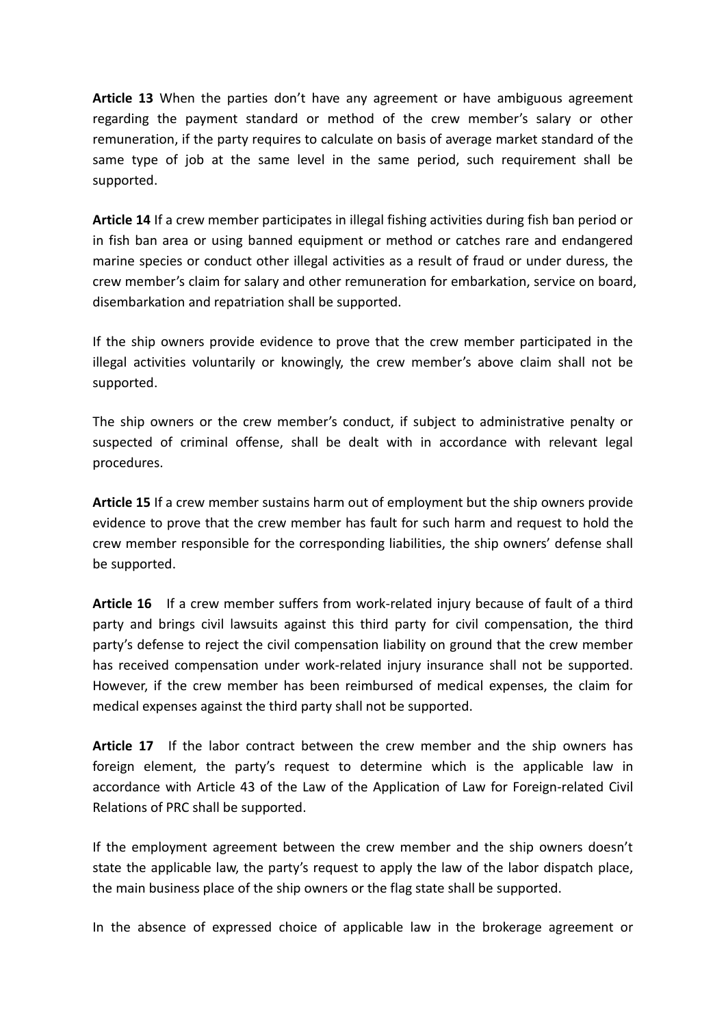**Article 13** When the parties don't have any agreement or have ambiguous agreement regarding the payment standard or method of the crew member's salary or other remuneration, if the party requires to calculate on basis of average market standard of the same type of job at the same level in the same period, such requirement shall be supported.

**Article 14** If a crew member participates in illegal fishing activities during fish ban period or in fish ban area or using banned equipment or method or catches rare and endangered marine species or conduct other illegal activities as a result of fraud or under duress, the crew member's claim for salary and other remuneration for embarkation, service on board, disembarkation and repatriation shall be supported.

If the ship owners provide evidence to prove that the crew member participated in the illegal activities voluntarily or knowingly, the crew member's above claim shall not be supported.

The ship owners or the crew member's conduct, if subject to administrative penalty or suspected of criminal offense, shall be dealt with in accordance with relevant legal procedures.

**Article 15** If a crew member sustains harm out of employment but the ship owners provide evidence to prove that the crew member has fault for such harm and request to hold the crew member responsible for the corresponding liabilities, the ship owners' defense shall be supported.

**Article 16** If a crew member suffers from work-related injury because of fault of a third party and brings civil lawsuits against this third party for civil compensation, the third party's defense to reject the civil compensation liability on ground that the crew member has received compensation under work-related injury insurance shall not be supported. However, if the crew member has been reimbursed of medical expenses, the claim for medical expenses against the third party shall not be supported.

**Article 17** If the labor contract between the crew member and the ship owners has foreign element, the party's request to determine which is the applicable law in accordance with Article 43 of the Law of the Application of Law for Foreign-related Civil Relations of PRC shall be supported.

If the employment agreement between the crew member and the ship owners doesn't state the applicable law, the party's request to apply the law of the labor dispatch place, the main business place of the ship owners or the flag state shall be supported.

In the absence of expressed choice of applicable law in the brokerage agreement or